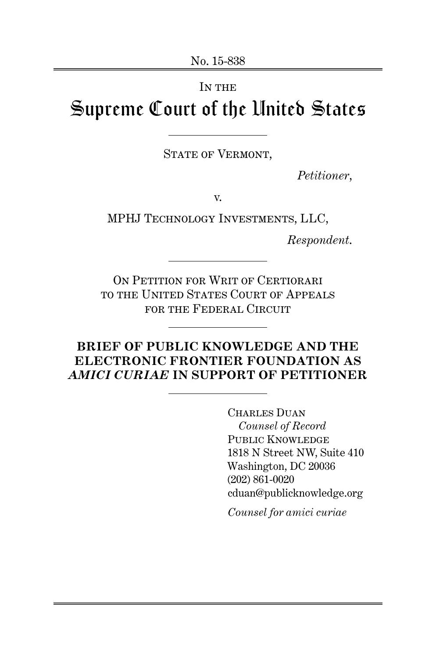# IN THE Supreme Court of the United States

STATE OF VERMONT,

*Petitioner*,

v.

MPHJ Technology Investments, LLC,

*Respondent*.

ON PETITION FOR WRIT OF CERTIORARI to the United States Court of Appeals for the Federal Circuit

## **BRIEF OF PUBLIC KNOWLEDGE AND THE ELECTRONIC FRONTIER FOUNDATION AS** *AMICI CURIAE* **IN SUPPORT OF PETITIONER**

CHARLES DUAN *Counsel of Record* PUBLIC KNOWLEDGE 1818 N Street NW, Suite 410 Washington, DC 20036 (202) 861-0020 cduan@publicknowledge.org

*Counsel for amici curiae*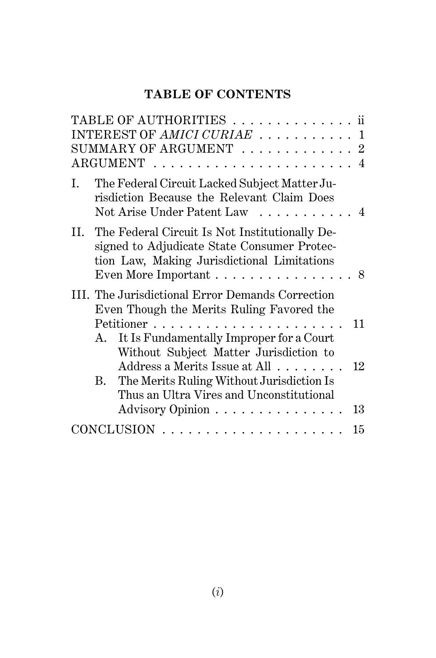# **TABLE OF CONTENTS**

| TABLE OF AUTHORITIES ii                                                                                                                                                                                    |              |
|------------------------------------------------------------------------------------------------------------------------------------------------------------------------------------------------------------|--------------|
| INTEREST OF AMICI CURIAE                                                                                                                                                                                   | $\mathbf{1}$ |
| SUMMARY OF ARGUMENT $\ldots \ldots \ldots \ldots 2$                                                                                                                                                        |              |
|                                                                                                                                                                                                            |              |
| The Federal Circuit Lacked Subject Matter Ju-<br>I.<br>risdiction Because the Relevant Claim Does<br>Not Arise Under Patent Law<br>. 4                                                                     |              |
| II. The Federal Circuit Is Not Institutionally De-<br>signed to Adjudicate State Consumer Protec-<br>tion Law, Making Jurisdictional Limitations<br>Even More Important $\dots\dots\dots\dots\dots\dots$ 8 |              |
| III. The Jurisdictional Error Demands Correction<br>Even Though the Merits Ruling Favored the                                                                                                              |              |
| Petitioner<br>It Is Fundamentally Improper for a Court<br>A.<br>Without Subject Matter Jurisdiction to                                                                                                     | 11           |
| Address a Merits Issue at All<br>The Merits Ruling Without Jurisdiction Is<br>B.<br>Thus an Ultra Vires and Unconstitutional<br>Advisory Opinion                                                           | 12<br>13     |
|                                                                                                                                                                                                            | 15           |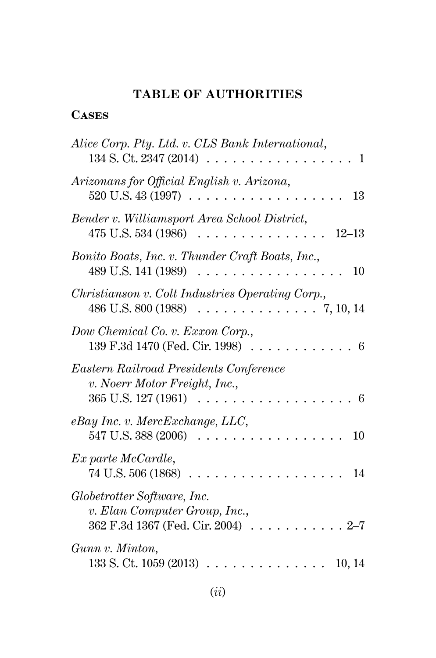# **TABLE OF AUTHORITIES**

# **Cases**

| Alice Corp. Pty. Ltd. v. CLS Bank International,<br>134 S. Ct. 2347 (2014).<br>1<br>.               |
|-----------------------------------------------------------------------------------------------------|
| Arizonans for Official English v. Arizona,<br>$520 \text{ U.S. } 43 \text{ (1997)} \ldots$<br>13    |
| Bender v. Williamsport Area School District,<br>475 U.S. 534 (1986)<br>$12 - 13$                    |
| Bonito Boats, Inc. v. Thunder Craft Boats, Inc.,<br>489 U.S. 141 (1989)<br>10                       |
| Christianson v. Colt Industries Operating Corp.,<br>486 U.S. 800 (1988)<br>. 7, 10, 14              |
| Dow Chemical Co. v. Exxon Corp.,<br>139 F.3d 1470 (Fed. Cir. 1998)<br>6                             |
| Eastern Railroad Presidents Conference<br>v. Noerr Motor Freight, Inc.,<br>365 U.S. 127 (1961)<br>6 |
| $e$ Bay Inc. v. MercExchange, LLC,<br>547 U.S. 388 (2006)<br>10                                     |
| $Ex\ part$ e McCardle,<br>74 U.S. 506 (1868)<br>14                                                  |
| Globetrotter Software, Inc.<br>v. Elan Computer Group, Inc.,<br>362 F.3d 1367 (Fed. Cir. 2004)      |
| Gunn v. Minton,<br>$133 S$ . Ct. $1059 (2013)$ .<br>10, 14                                          |
|                                                                                                     |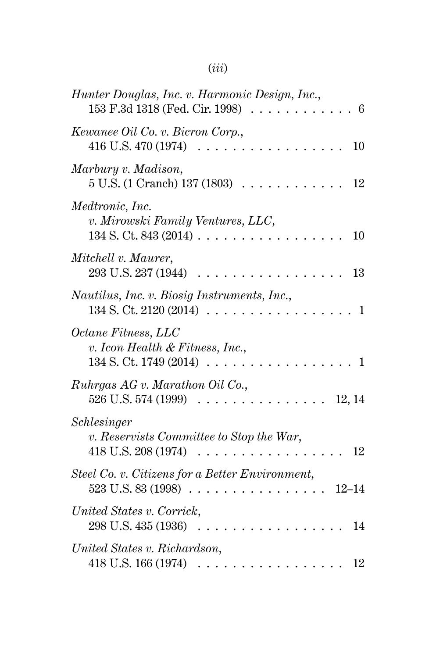# (*iii*)

| Hunter Douglas, Inc. v. Harmonic Design, Inc.,<br>153 F.3d 1318 (Fed. Cir. 1998)<br>6       |
|---------------------------------------------------------------------------------------------|
| Kewanee Oil Co. v. Bicron Corp.,<br>416 U.S. 470 (1974)<br>$10\,$                           |
| Marbury v. Madison,<br>5 U.S. (1 Cranch) 137 (1803)<br>12                                   |
| Medtronic, Inc.<br>v. Mirowski Family Ventures, LLC,<br>$134$ S. Ct. $843(2014)$ .<br>10    |
| Mitchell v. Maurer,<br>293 U.S. 237 (1944)<br>13                                            |
| Nautilus, Inc. v. Biosig Instruments, Inc.,<br>134 S. Ct. 2120 (2014)<br>1<br>$\sim$ $\sim$ |
| Octane Fitness, LLC<br>v. Icon Health & Fitness, Inc.,<br>134 S. Ct. 1749 (2014)<br>1       |
| Ruhrgas AG v. Marathon Oil Co.,<br>526 U.S. 574 (1999)<br>12, 14                            |
| Schlesinger<br>v. Reservists Committee to Stop the War,<br>418 U.S. 208 (1974)<br>12        |
| Steel Co. v. Citizens for a Better Environment,<br>523 U.S. 83 (1998)<br>$12 - 14$<br>.     |
| United States v. Corrick,<br>298 U.S. 435 (1936)<br>14                                      |
| United States v. Richardson,<br>418 U.S. 166 (1974)<br>12                                   |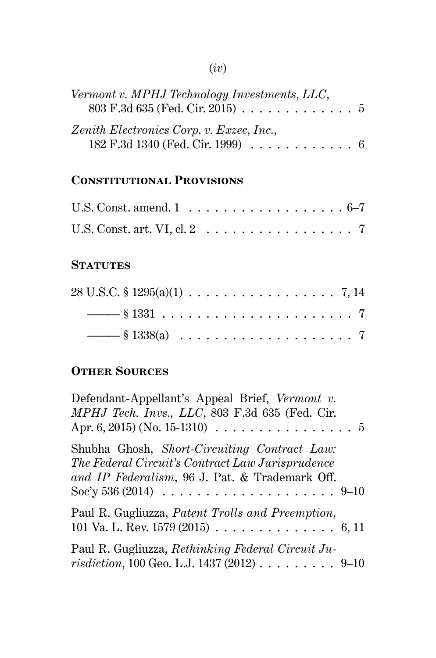# (*iv*)

| Vermont v. MPHJ Technology Investments, LLC,<br>803 F.3d 635 (Fed. Cir. 2015) 5                            |  |
|------------------------------------------------------------------------------------------------------------|--|
| Zenith Electronics Corp. v. Exzec, Inc.,<br>182 F.3d 1340 (Fed. Cir. 1999) $\ldots \ldots \ldots \ldots 6$ |  |

# **Constitutional Provisions**

| U.S. Const. amend. $1 \ldots \ldots \ldots \ldots \ldots \ldots 6-7$     |  |  |  |  |  |  |  |  |  |  |
|--------------------------------------------------------------------------|--|--|--|--|--|--|--|--|--|--|
| U.S. Const. art. VI, cl. $2 \ldots \ldots \ldots \ldots \ldots \ldots$ 7 |  |  |  |  |  |  |  |  |  |  |

## **STATUTES**

| $28 \text{ U.S.C.} \S 1295(a)(1) \ldots \ldots \ldots \ldots \ldots \ldots 7, 14$ |  |  |  |  |  |  |  |  |  |  |  |  |
|-----------------------------------------------------------------------------------|--|--|--|--|--|--|--|--|--|--|--|--|
|                                                                                   |  |  |  |  |  |  |  |  |  |  |  |  |
|                                                                                   |  |  |  |  |  |  |  |  |  |  |  |  |

# **Other Sources**

| Defendant-Appellant's Appeal Brief, Vermont v.<br>MPHJ Tech. Invs., LLC, 803 F.3d 635 (Fed. Cir.<br>Apr. 6, 2015) (No. 15-1310) $\ldots \ldots \ldots \ldots \ldots \ldots$ |
|-----------------------------------------------------------------------------------------------------------------------------------------------------------------------------|
| Shubha Ghosh, Short-Circuiting Contract Law:<br>The Federal Circuit's Contract Law Jurisprudence<br>and IP Federalism, 96 J. Pat. & Trademark Off.                          |
| Paul R. Gugliuzza, <i>Patent Trolls and Preemption</i> ,<br>101 Va. L. Rev. 1579 (2015) $\ldots \ldots \ldots \ldots \ldots 6, 11$                                          |
| Paul R. Gugliuzza, Rethinking Federal Circuit Ju-<br><i>risdiction</i> , 100 Geo. L.J. 1437 (2012) 9-10                                                                     |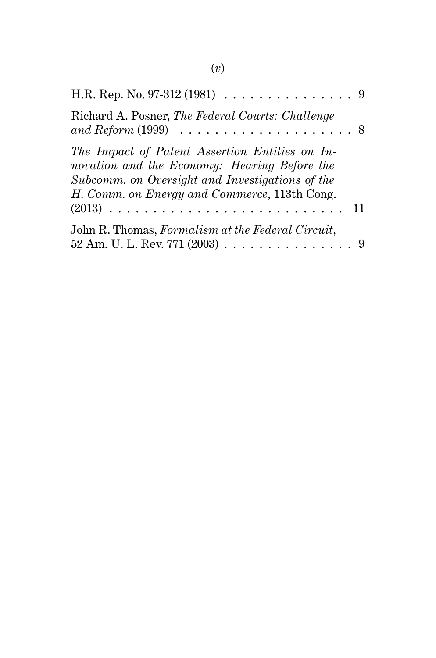| H.R. Rep. No. 97-312 (1981) $\ldots \ldots \ldots \ldots \ldots$ 9                                                                                                                                |
|---------------------------------------------------------------------------------------------------------------------------------------------------------------------------------------------------|
| Richard A. Posner, The Federal Courts: Challenge<br>and Reform $(1999) \ldots \ldots \ldots \ldots \ldots \ldots \ldots 8$                                                                        |
| The Impact of Patent Assertion Entities on In-<br>novation and the Economy: Hearing Before the<br>Subcomm. on Oversight and Investigations of the<br>H. Comm. on Energy and Commerce, 113th Cong. |
|                                                                                                                                                                                                   |
| John R. Thomas, Formalism at the Federal Circuit,<br>52 Am. U. L. Rev. 771 (2003) 9                                                                                                               |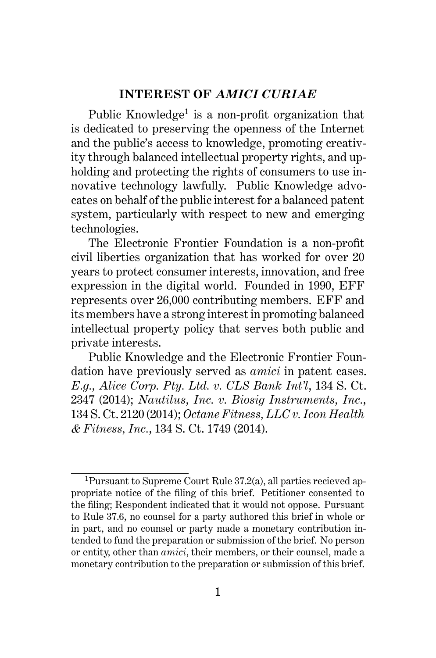#### **INTEREST OF** *AMICI CURIAE*

Public Knowledge<sup>1</sup> is a non-profit organization that is dedicated to preserving the openness of the Internet and the public's access to knowledge, promoting creativity through balanced intellectual property rights, and upholding and protecting the rights of consumers to use innovative technology lawfully. Public Knowledge advocates on behalf of the public interest for a balanced patent system, particularly with respect to new and emerging technologies.

The Electronic Frontier Foundation is a non-profit civil liberties organization that has worked for over 20 years to protect consumer interests, innovation, and free expression in the digital world. Founded in 1990, EFF represents over 26,000 contributing members. EFF and its members have a strong interest in promoting balanced intellectual property policy that serves both public and private interests.

Public Knowledge and the Electronic Frontier Foundation have previously served as *amici* in patent cases. *E.g., Alice Corp. Pty. Ltd. v. CLS Bank Int'l*, 134 S. Ct. 2347 (2014); *Nautilus, Inc. v. Biosig Instruments, Inc.*, 134 S. Ct. 2120 (2014); *Octane Fitness, LLC v. Icon Health & Fitness, Inc.*, 134 S. Ct. 1749 (2014).

<sup>1</sup>Pursuant to Supreme Court Rule 37.2(a), all parties recieved appropriate notice of the filing of this brief. Petitioner consented to the filing; Respondent indicated that it would not oppose. Pursuant to Rule 37.6, no counsel for a party authored this brief in whole or in part, and no counsel or party made a monetary contribution intended to fund the preparation or submission of the brief. No person or entity, other than *amici*, their members, or their counsel, made a monetary contribution to the preparation or submission of this brief.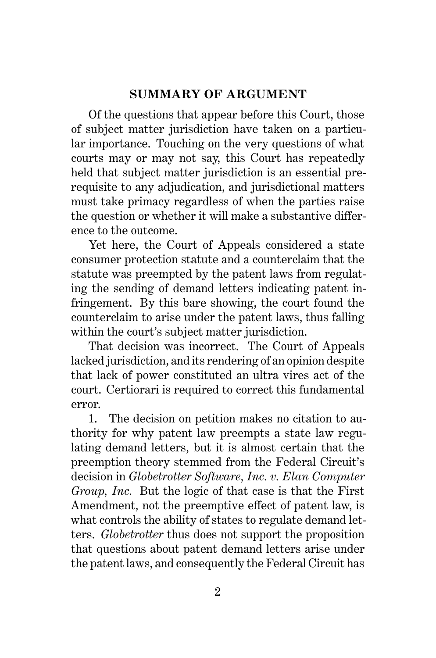## **SUMMARY OF ARGUMENT**

Of the questions that appear before this Court, those of subject matter jurisdiction have taken on a particular importance. Touching on the very questions of what courts may or may not say, this Court has repeatedly held that subject matter jurisdiction is an essential prerequisite to any adjudication, and jurisdictional matters must take primacy regardless of when the parties raise the question or whether it will make a substantive difference to the outcome.

Yet here, the Court of Appeals considered a state consumer protection statute and a counterclaim that the statute was preempted by the patent laws from regulating the sending of demand letters indicating patent infringement. By this bare showing, the court found the counterclaim to arise under the patent laws, thus falling within the court's subject matter jurisdiction.

That decision was incorrect. The Court of Appeals lacked jurisdiction, and its rendering of an opinion despite that lack of power constituted an ultra vires act of the court. Certiorari is required to correct this fundamental error.

1. The decision on petition makes no citation to authority for why patent law preempts a state law regulating demand letters, but it is almost certain that the preemption theory stemmed from the Federal Circuit's decision in *Globetrotter Software, Inc. v. Elan Computer Group, Inc.* But the logic of that case is that the First Amendment, not the preemptive effect of patent law, is what controls the ability of states to regulate demand letters. *Globetrotter* thus does not support the proposition that questions about patent demand letters arise under the patent laws, and consequently the Federal Circuit has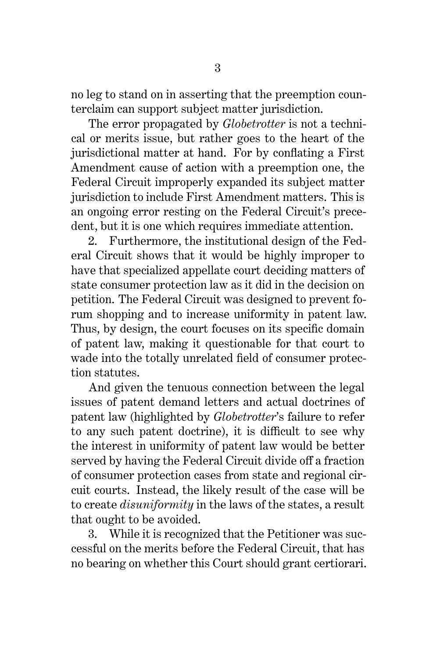no leg to stand on in asserting that the preemption counterclaim can support subject matter jurisdiction.

The error propagated by *Globetrotter* is not a technical or merits issue, but rather goes to the heart of the jurisdictional matter at hand. For by conflating a First Amendment cause of action with a preemption one, the Federal Circuit improperly expanded its subject matter jurisdiction to include First Amendment matters. This is an ongoing error resting on the Federal Circuit's precedent, but it is one which requires immediate attention.

2. Furthermore, the institutional design of the Federal Circuit shows that it would be highly improper to have that specialized appellate court deciding matters of state consumer protection law as it did in the decision on petition. The Federal Circuit was designed to prevent forum shopping and to increase uniformity in patent law. Thus, by design, the court focuses on its specific domain of patent law, making it questionable for that court to wade into the totally unrelated field of consumer protection statutes.

And given the tenuous connection between the legal issues of patent demand letters and actual doctrines of patent law (highlighted by *Globetrotter*'s failure to refer to any such patent doctrine), it is difficult to see why the interest in uniformity of patent law would be better served by having the Federal Circuit divide off a fraction of consumer protection cases from state and regional circuit courts. Instead, the likely result of the case will be to create *disuniformity* in the laws of the states, a result that ought to be avoided.

3. While it is recognized that the Petitioner was successful on the merits before the Federal Circuit, that has no bearing on whether this Court should grant certiorari.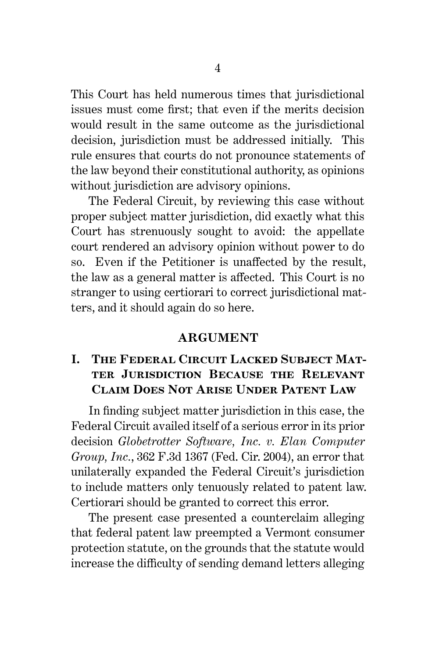This Court has held numerous times that jurisdictional issues must come first; that even if the merits decision would result in the same outcome as the jurisdictional decision, jurisdiction must be addressed initially. This rule ensures that courts do not pronounce statements of the law beyond their constitutional authority, as opinions without jurisdiction are advisory opinions.

The Federal Circuit, by reviewing this case without proper subject matter jurisdiction, did exactly what this Court has strenuously sought to avoid: the appellate court rendered an advisory opinion without power to do so. Even if the Petitioner is unaffected by the result, the law as a general matter is affected. This Court is no stranger to using certiorari to correct jurisdictional matters, and it should again do so here.

### **ARGUMENT**

# **I. The Federal Circuit Lacked Subject Matter Jurisdiction Because the Relevant Claim Does Not Arise Under Patent Law**

In finding subject matter jurisdiction in this case, the Federal Circuit availed itself of a serious error in its prior decision *Globetrotter Software, Inc. v. Elan Computer Group, Inc.*, 362 F.3d 1367 (Fed. Cir. 2004), an error that unilaterally expanded the Federal Circuit's jurisdiction to include matters only tenuously related to patent law. Certiorari should be granted to correct this error.

The present case presented a counterclaim alleging that federal patent law preempted a Vermont consumer protection statute, on the grounds that the statute would increase the difficulty of sending demand letters alleging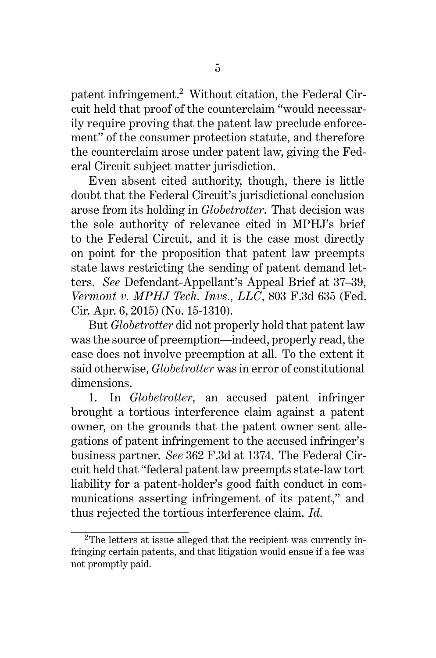patent infringement.<sup>2</sup> Without citation, the Federal Circuit held that proof of the counterclaim "would necessarily require proving that the patent law preclude enforcement" of the consumer protection statute, and therefore the counterclaim arose under patent law, giving the Federal Circuit subject matter jurisdiction.

Even absent cited authority, though, there is little doubt that the Federal Circuit's jurisdictional conclusion arose from its holding in *Globetrotter*. That decision was the sole authority of relevance cited in MPHJ's brief to the Federal Circuit, and it is the case most directly on point for the proposition that patent law preempts state laws restricting the sending of patent demand letters. *See* Defendant-Appellant's Appeal Brief at 37–39, *Vermont v. MPHJ Tech. Invs., LLC*, 803 F.3d 635 (Fed. Cir. Apr. 6, 2015) (No. 15-1310).

But *Globetrotter* did not properly hold that patent law was the source of preemption—indeed, properly read, the case does not involve preemption at all. To the extent it said otherwise, *Globetrotter* was in error of constitutional dimensions.

1. In *Globetrotter*, an accused patent infringer brought a tortious interference claim against a patent owner, on the grounds that the patent owner sent allegations of patent infringement to the accused infringer's business partner. *See* 362 F.3d at 1374. The Federal Circuit held that "federal patent law preempts state-law tort liability for a patent-holder's good faith conduct in communications asserting infringement of its patent," and thus rejected the tortious interference claim. *Id.*

<sup>2</sup>The letters at issue alleged that the recipient was currently infringing certain patents, and that litigation would ensue if a fee was not promptly paid.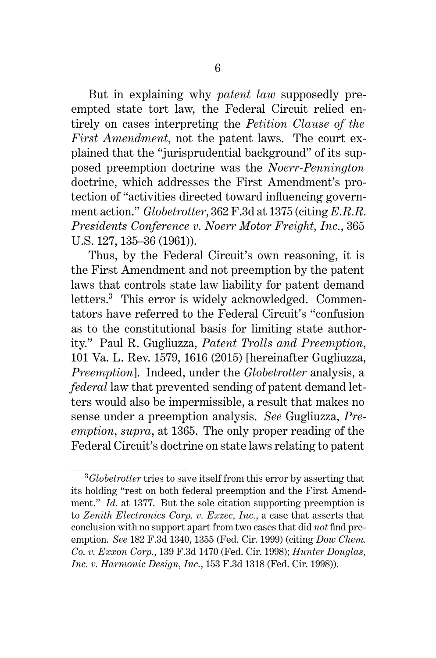But in explaining why *patent law* supposedly preempted state tort law, the Federal Circuit relied entirely on cases interpreting the *Petition Clause of the First Amendment*, not the patent laws. The court explained that the "jurisprudential background" of its supposed preemption doctrine was the *Noerr-Pennington* doctrine, which addresses the First Amendment's protection of "activities directed toward influencing government action." *Globetrotter*, 362 F.3d at 1375 (citing *E.R.R. Presidents Conference v. Noerr Motor Freight, Inc.*, 365 U.S. 127, 135–36 (1961)).

Thus, by the Federal Circuit's own reasoning, it is the First Amendment and not preemption by the patent laws that controls state law liability for patent demand letters.<sup>3</sup> This error is widely acknowledged. Commentators have referred to the Federal Circuit's "confusion as to the constitutional basis for limiting state authority." Paul R. Gugliuzza, *Patent Trolls and Preemption*, 101 Va. L. Rev. 1579, 1616 (2015) [hereinafter Gugliuzza, *Preemption*]. Indeed, under the *Globetrotter* analysis, a *federal* law that prevented sending of patent demand letters would also be impermissible, a result that makes no sense under a preemption analysis. *See* Gugliuzza, *Preemption*, *supra*, at 1365. The only proper reading of the Federal Circuit's doctrine on state laws relating to patent

<sup>3</sup>*Globetrotter* tries to save itself from this error by asserting that its holding "rest on both federal preemption and the First Amendment." *Id.* at 1377. But the sole citation supporting preemption is to *Zenith Electronics Corp. v. Exzec, Inc.*, a case that asserts that conclusion with no support apart from two cases that did *not* find preemption. *See* 182 F.3d 1340, 1355 (Fed. Cir. 1999) (citing *Dow Chem. Co. v. Exxon Corp.*, 139 F.3d 1470 (Fed. Cir. 1998); *Hunter Douglas, Inc. v. Harmonic Design, Inc.*, 153 F.3d 1318 (Fed. Cir. 1998)).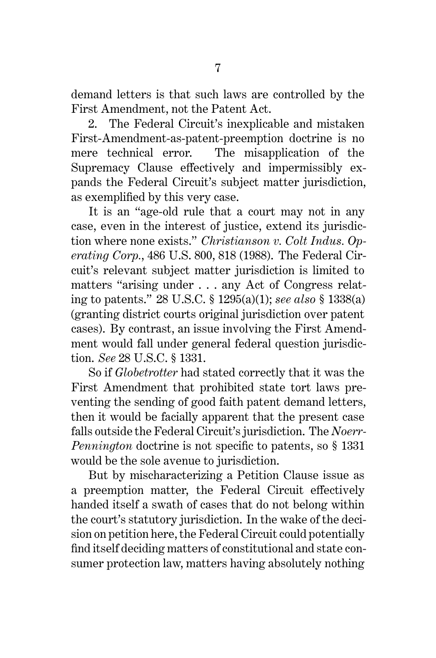demand letters is that such laws are controlled by the First Amendment, not the Patent Act.

2. The Federal Circuit's inexplicable and mistaken First-Amendment-as-patent-preemption doctrine is no mere technical error. The misapplication of the Supremacy Clause effectively and impermissibly expands the Federal Circuit's subject matter jurisdiction, as exemplified by this very case.

It is an "age-old rule that a court may not in any case, even in the interest of justice, extend its jurisdiction where none exists." *Christianson v. Colt Indus. Operating Corp.*, 486 U.S. 800, 818 (1988). The Federal Circuit's relevant subject matter jurisdiction is limited to matters "arising under . . . any Act of Congress relating to patents." 28 U.S.C. § 1295(a)(1); *see also* § 1338(a) (granting district courts original jurisdiction over patent cases). By contrast, an issue involving the First Amendment would fall under general federal question jurisdiction. *See* 28 U.S.C. § 1331.

So if *Globetrotter* had stated correctly that it was the First Amendment that prohibited state tort laws preventing the sending of good faith patent demand letters, then it would be facially apparent that the present case falls outside the Federal Circuit's jurisdiction. The *Noerr-Pennington* doctrine is not specific to patents, so § 1331 would be the sole avenue to jurisdiction.

But by mischaracterizing a Petition Clause issue as a preemption matter, the Federal Circuit effectively handed itself a swath of cases that do not belong within the court's statutory jurisdiction. In the wake of the decision on petition here, the Federal Circuit could potentially find itself deciding matters of constitutional and state consumer protection law, matters having absolutely nothing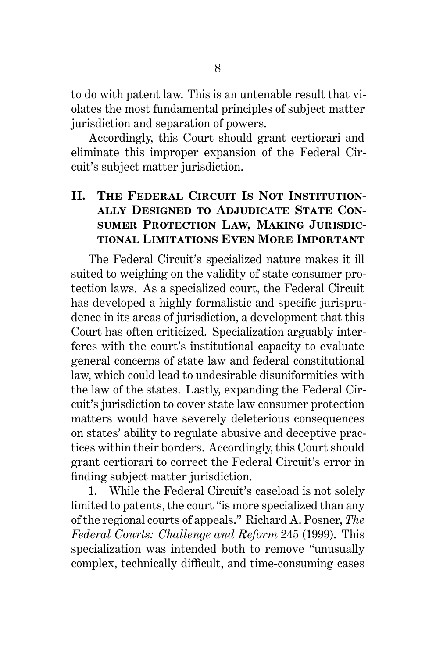to do with patent law. This is an untenable result that violates the most fundamental principles of subject matter jurisdiction and separation of powers.

Accordingly, this Court should grant certiorari and eliminate this improper expansion of the Federal Circuit's subject matter jurisdiction.

# II. THE FEDERAL CIRCUIT IS NOT INSTITUTION**ally Designed to Adjudicate State Consumer Protection Law, Making Jurisdictional Limitations Even More Important**

The Federal Circuit's specialized nature makes it ill suited to weighing on the validity of state consumer protection laws. As a specialized court, the Federal Circuit has developed a highly formalistic and specific jurisprudence in its areas of jurisdiction, a development that this Court has often criticized. Specialization arguably interferes with the court's institutional capacity to evaluate general concerns of state law and federal constitutional law, which could lead to undesirable disuniformities with the law of the states. Lastly, expanding the Federal Circuit's jurisdiction to cover state law consumer protection matters would have severely deleterious consequences on states' ability to regulate abusive and deceptive practices within their borders. Accordingly, this Court should grant certiorari to correct the Federal Circuit's error in finding subject matter jurisdiction.

1. While the Federal Circuit's caseload is not solely limited to patents, the court "is more specialized than any of the regional courts of appeals." Richard A. Posner, *The Federal Courts: Challenge and Reform* 245 (1999). This specialization was intended both to remove "unusually complex, technically difficult, and time-consuming cases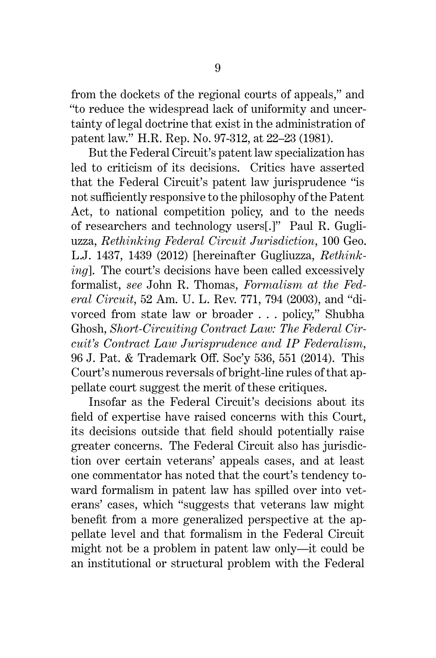from the dockets of the regional courts of appeals," and "to reduce the widespread lack of uniformity and uncertainty of legal doctrine that exist in the administration of patent law." H.R. Rep. No. 97-312, at 22–23 (1981).

But the Federal Circuit's patent law specialization has led to criticism of its decisions. Critics have asserted that the Federal Circuit's patent law jurisprudence "is not sufficiently responsive to the philosophy of the Patent Act, to national competition policy, and to the needs of researchers and technology users[.]" Paul R. Gugliuzza, *Rethinking Federal Circuit Jurisdiction*, 100 Geo. L.J. 1437, 1439 (2012) [hereinafter Gugliuzza, *Rethinking*]. The court's decisions have been called excessively formalist, *see* John R. Thomas, *Formalism at the Federal Circuit*, 52 Am. U. L. Rev. 771, 794 (2003), and "divorced from state law or broader . . . policy," Shubha Ghosh, *Short-Circuiting Contract Law: The Federal Circuit's Contract Law Jurisprudence and IP Federalism*, 96 J. Pat. & Trademark Off. Soc'y 536, 551 (2014). This Court's numerous reversals of bright-line rules of that appellate court suggest the merit of these critiques.

Insofar as the Federal Circuit's decisions about its field of expertise have raised concerns with this Court, its decisions outside that field should potentially raise greater concerns. The Federal Circuit also has jurisdiction over certain veterans' appeals cases, and at least one commentator has noted that the court's tendency toward formalism in patent law has spilled over into veterans' cases, which "suggests that veterans law might benefit from a more generalized perspective at the appellate level and that formalism in the Federal Circuit might not be a problem in patent law only—it could be an institutional or structural problem with the Federal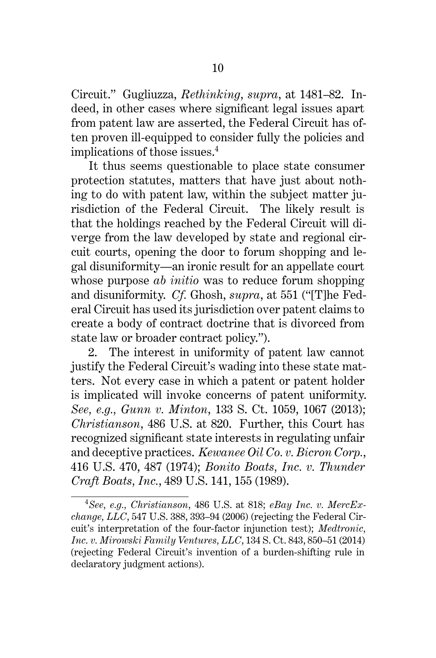Circuit." Gugliuzza, *Rethinking*, *supra*, at 1481–82. Indeed, in other cases where significant legal issues apart from patent law are asserted, the Federal Circuit has often proven ill-equipped to consider fully the policies and implications of those issues.<sup>4</sup>

It thus seems questionable to place state consumer protection statutes, matters that have just about nothing to do with patent law, within the subject matter jurisdiction of the Federal Circuit. The likely result is that the holdings reached by the Federal Circuit will diverge from the law developed by state and regional circuit courts, opening the door to forum shopping and legal disuniformity—an ironic result for an appellate court whose purpose *ab initio* was to reduce forum shopping and disuniformity. *Cf.* Ghosh, *supra*, at 551 ("[T]he Federal Circuit has used its jurisdiction over patent claims to create a body of contract doctrine that is divorced from state law or broader contract policy.").

2. The interest in uniformity of patent law cannot justify the Federal Circuit's wading into these state matters. Not every case in which a patent or patent holder is implicated will invoke concerns of patent uniformity. *See, e.g., Gunn v. Minton*, 133 S. Ct. 1059, 1067 (2013); *Christianson*, 486 U.S. at 820. Further, this Court has recognized significant state interests in regulating unfair and deceptive practices. *Kewanee Oil Co. v. Bicron Corp.*, 416 U.S. 470, 487 (1974); *Bonito Boats, Inc. v. Thunder Craft Boats, Inc.*, 489 U.S. 141, 155 (1989).

<sup>4</sup>*See, e.g., Christianson*, 486 U.S. at 818; *eBay Inc. v. MercExchange, LLC*, 547 U.S. 388, 393–94 (2006) (rejecting the Federal Circuit's interpretation of the four-factor injunction test); *Medtronic, Inc. v. Mirowski Family Ventures, LLC*, 134 S. Ct. 843, 850–51 (2014) (rejecting Federal Circuit's invention of a burden-shifting rule in declaratory judgment actions).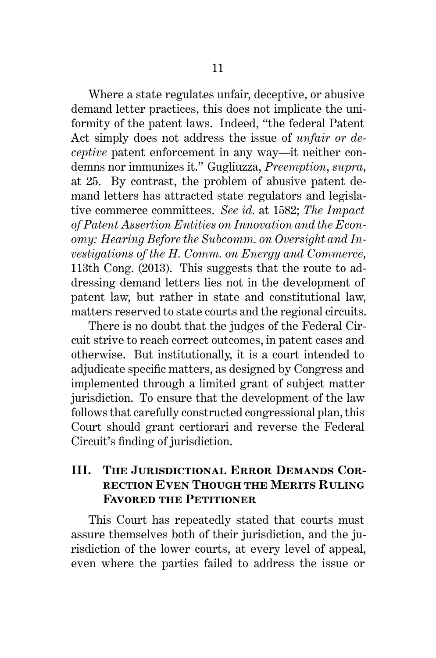Where a state regulates unfair, deceptive, or abusive demand letter practices, this does not implicate the uniformity of the patent laws. Indeed, "the federal Patent Act simply does not address the issue of *unfair or deceptive* patent enforcement in any way—it neither condemns nor immunizes it." Gugliuzza, *Preemption*, *supra*, at 25. By contrast, the problem of abusive patent demand letters has attracted state regulators and legislative commerce committees. *See id.* at 1582; *The Impact of Patent Assertion Entities on Innovation and the Economy: Hearing Before the Subcomm. on Oversight and Investigations of the H. Comm. on Energy and Commerce*, 113th Cong. (2013). This suggests that the route to addressing demand letters lies not in the development of patent law, but rather in state and constitutional law, matters reserved to state courts and the regional circuits.

There is no doubt that the judges of the Federal Circuit strive to reach correct outcomes, in patent cases and otherwise. But institutionally, it is a court intended to adjudicate specific matters, as designed by Congress and implemented through a limited grant of subject matter jurisdiction. To ensure that the development of the law follows that carefully constructed congressional plan, this Court should grant certiorari and reverse the Federal Circuit's finding of jurisdiction.

# **III. The Jurisdictional Error Demands Correction Even Though the Merits Ruling Favored the Petitioner**

This Court has repeatedly stated that courts must assure themselves both of their jurisdiction, and the jurisdiction of the lower courts, at every level of appeal, even where the parties failed to address the issue or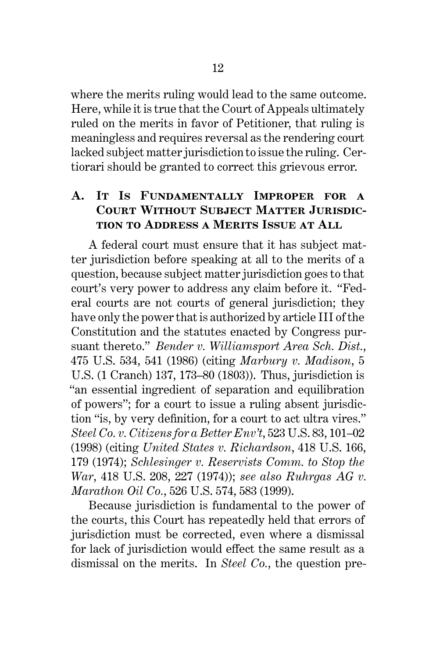where the merits ruling would lead to the same outcome. Here, while it is true that the Court of Appeals ultimately ruled on the merits in favor of Petitioner, that ruling is meaningless and requires reversal as the rendering court lacked subject matter jurisdiction to issue the ruling. Certiorari should be granted to correct this grievous error.

## **A. It Is Fundamentally Improper for a Court Without Subject Matter Jurisdiction to Address a Merits Issue at All**

A federal court must ensure that it has subject matter jurisdiction before speaking at all to the merits of a question, because subject matter jurisdiction goes to that court's very power to address any claim before it. "Federal courts are not courts of general jurisdiction; they have only the power that is authorized by article III of the Constitution and the statutes enacted by Congress pursuant thereto." *Bender v. Williamsport Area Sch. Dist.*, 475 U.S. 534, 541 (1986) (citing *Marbury v. Madison*, 5 U.S. (1 Cranch) 137, 173–80 (1803)). Thus, jurisdiction is "an essential ingredient of separation and equilibration of powers"; for a court to issue a ruling absent jurisdiction "is, by very definition, for a court to act ultra vires." *Steel Co. v. Citizens for a Better Env't*, 523 U.S. 83, 101–02 (1998) (citing *United States v. Richardson*, 418 U.S. 166, 179 (1974); *Schlesinger v. Reservists Comm. to Stop the War*, 418 U.S. 208, 227 (1974)); *see also Ruhrgas AG v. Marathon Oil Co.*, 526 U.S. 574, 583 (1999).

Because jurisdiction is fundamental to the power of the courts, this Court has repeatedly held that errors of jurisdiction must be corrected, even where a dismissal for lack of jurisdiction would effect the same result as a dismissal on the merits. In *Steel Co.*, the question pre-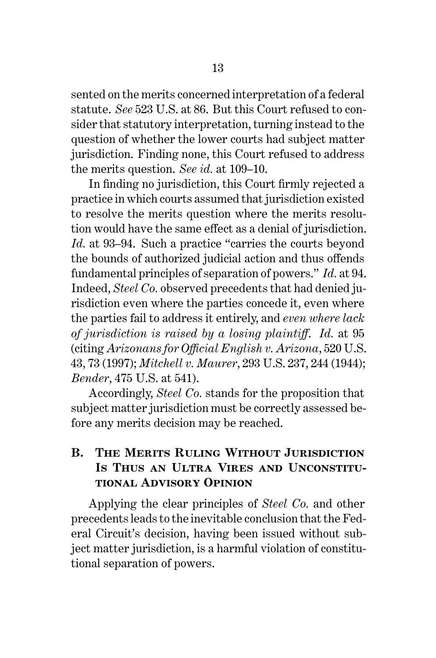sented on the merits concerned interpretation of a federal statute. *See* 523 U.S. at 86. But this Court refused to consider that statutory interpretation, turning instead to the question of whether the lower courts had subject matter jurisdiction. Finding none, this Court refused to address the merits question. *See id.* at 109–10.

In finding no jurisdiction, this Court firmly rejected a practice in which courts assumed that jurisdiction existed to resolve the merits question where the merits resolution would have the same effect as a denial of jurisdiction. *Id.* at 93–94. Such a practice "carries the courts beyond the bounds of authorized judicial action and thus offends fundamental principles of separation of powers." *Id.* at 94. Indeed, *Steel Co.* observed precedents that had denied jurisdiction even where the parties concede it, even where the parties fail to address it entirely, and *even where lack of jurisdiction is raised by a losing plaintiff*. *Id.* at 95 (citing *Arizonans for Official English v. Arizona*, 520 U.S. 43, 73 (1997); *Mitchell v. Maurer*, 293 U.S. 237, 244 (1944); *Bender*, 475 U.S. at 541).

Accordingly, *Steel Co.* stands for the proposition that subject matter jurisdiction must be correctly assessed before any merits decision may be reached.

## **B. The Merits Ruling Without Jurisdiction Is Thus an Ultra Vires and Unconstitutional Advisory Opinion**

Applying the clear principles of *Steel Co.* and other precedents leads to the inevitable conclusion that the Federal Circuit's decision, having been issued without subject matter jurisdiction, is a harmful violation of constitutional separation of powers.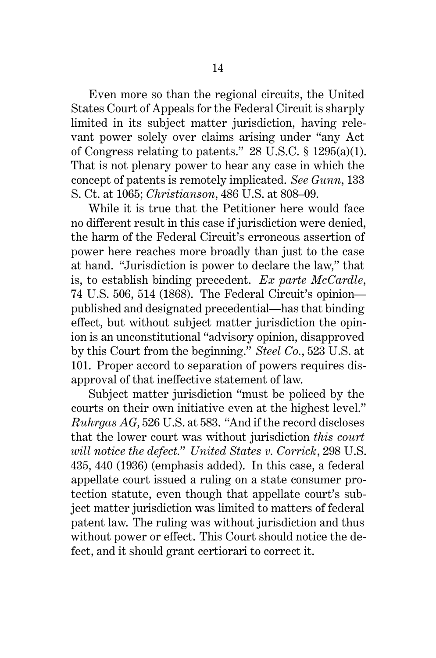Even more so than the regional circuits, the United States Court of Appeals for the Federal Circuit is sharply limited in its subject matter jurisdiction, having relevant power solely over claims arising under "any Act of Congress relating to patents." 28 U.S.C. § 1295(a)(1). That is not plenary power to hear any case in which the concept of patents is remotely implicated. *See Gunn*, 133 S. Ct. at 1065; *Christianson*, 486 U.S. at 808–09.

While it is true that the Petitioner here would face no different result in this case if jurisdiction were denied, the harm of the Federal Circuit's erroneous assertion of power here reaches more broadly than just to the case at hand. "Jurisdiction is power to declare the law," that is, to establish binding precedent. *Ex parte McCardle*, 74 U.S. 506, 514 (1868). The Federal Circuit's opinion published and designated precedential—has that binding effect, but without subject matter jurisdiction the opinion is an unconstitutional "advisory opinion, disapproved by this Court from the beginning." *Steel Co.*, 523 U.S. at 101. Proper accord to separation of powers requires disapproval of that ineffective statement of law.

Subject matter jurisdiction "must be policed by the courts on their own initiative even at the highest level." *Ruhrgas AG*, 526 U.S. at 583. "And if the record discloses that the lower court was without jurisdiction *this court will notice the defect.*" *United States v. Corrick*, 298 U.S. 435, 440 (1936) (emphasis added). In this case, a federal appellate court issued a ruling on a state consumer protection statute, even though that appellate court's subject matter jurisdiction was limited to matters of federal patent law. The ruling was without jurisdiction and thus without power or effect. This Court should notice the defect, and it should grant certiorari to correct it.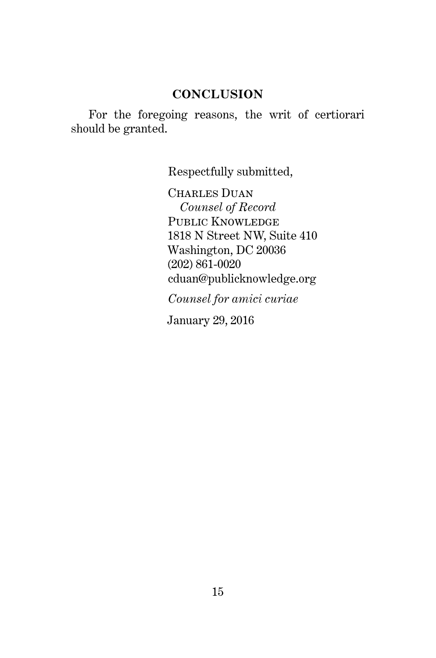### **CONCLUSION**

For the foregoing reasons, the writ of certiorari should be granted.

Respectfully submitted,

CHARLES DUAN *Counsel of Record* PUBLIC KNOWLEDGE 1818 N Street NW, Suite 410 Washington, DC 20036 (202) 861-0020 cduan@publicknowledge.org

*Counsel for amici curiae*

January 29, 2016